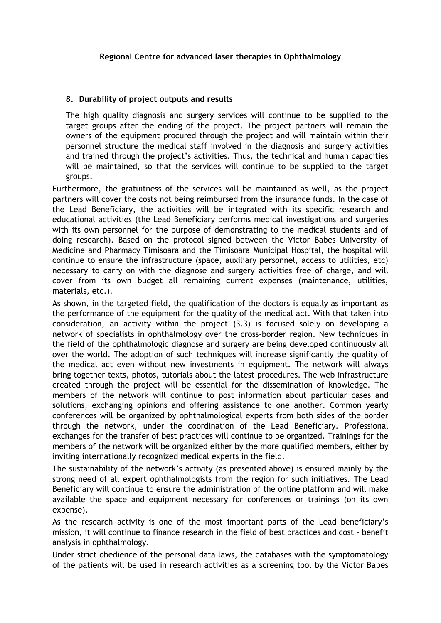## **8. Durability of project outputs and results**

The high quality diagnosis and surgery services will continue to be supplied to the target groups after the ending of the project. The project partners will remain the owners of the equipment procured through the project and will maintain within their personnel structure the medical staff involved in the diagnosis and surgery activities and trained through the project's activities. Thus, the technical and human capacities will be maintained, so that the services will continue to be supplied to the target groups.

Furthermore, the gratuitness of the services will be maintained as well, as the project partners will cover the costs not being reimbursed from the insurance funds. In the case of the Lead Beneficiary, the activities will be integrated with its specific research and educational activities (the Lead Beneficiary performs medical investigations and surgeries with its own personnel for the purpose of demonstrating to the medical students and of doing research). Based on the protocol signed between the Victor Babes University of Medicine and Pharmacy Timisoara and the Timisoara Municipal Hospital, the hospital will continue to ensure the infrastructure (space, auxiliary personnel, access to utilities, etc) necessary to carry on with the diagnose and surgery activities free of charge, and will cover from its own budget all remaining current expenses (maintenance, utilities, materials, etc.).

As shown, in the targeted field, the qualification of the doctors is equally as important as the performance of the equipment for the quality of the medical act. With that taken into consideration, an activity within the project (3.3) is focused solely on developing a network of specialists in ophthalmology over the cross-border region. New techniques in the field of the ophthalmologic diagnose and surgery are being developed continuously all over the world. The adoption of such techniques will increase significantly the quality of the medical act even without new investments in equipment. The network will always bring together texts, photos, tutorials about the latest procedures. The web infrastructure created through the project will be essential for the dissemination of knowledge. The members of the network will continue to post information about particular cases and solutions, exchanging opinions and offering assistance to one another. Common yearly conferences will be organized by ophthalmological experts from both sides of the border through the network, under the coordination of the Lead Beneficiary. Professional exchanges for the transfer of best practices will continue to be organized. Trainings for the members of the network will be organized either by the more qualified members, either by inviting internationally recognized medical experts in the field.

The sustainability of the network's activity (as presented above) is ensured mainly by the strong need of all expert ophthalmologists from the region for such initiatives. The Lead Beneficiary will continue to ensure the administration of the online platform and will make available the space and equipment necessary for conferences or trainings (on its own expense).

As the research activity is one of the most important parts of the Lead beneficiary's mission, it will continue to finance research in the field of best practices and cost – benefit analysis in ophthalmology.

Under strict obedience of the personal data laws, the databases with the symptomatology of the patients will be used in research activities as a screening tool by the Victor Babes